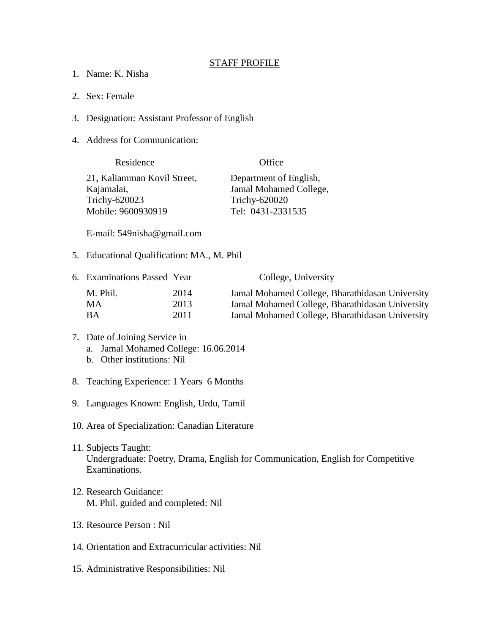## STAFF PROFILE

- 1. Name: K. Nisha
- 2. Sex: Female
- 3. Designation: Assistant Professor of English
- 4. Address for Communication:

| Residence                   | Office                 |
|-----------------------------|------------------------|
| 21, Kaliamman Kovil Street, | Department of English, |
| Kajamalai,                  | Jamal Mohamed College, |
| Trichy-620023               | Trichy-620020          |
| Mobile: 9600930919          | Tel: 0431-2331535      |

E-mail: 549nisha@gmail.com

5. Educational Qualification: MA., M. Phil

| 6. Examinations Passed Year |      | College, University                             |
|-----------------------------|------|-------------------------------------------------|
| M. Phil.                    | 2014 | Jamal Mohamed College, Bharathidasan University |
| MA.                         | 2013 | Jamal Mohamed College, Bharathidasan University |
| ВA                          | 2011 | Jamal Mohamed College, Bharathidasan University |

## 7. Date of Joining Service in a. Jamal Mohamed College: 16.06.2014 b. Other institutions: Nil

- 8. Teaching Experience: 1 Years 6 Months
- 9. Languages Known: English, Urdu, Tamil
- 10. Area of Specialization: Canadian Literature
- 11. Subjects Taught: Undergraduate: Poetry, Drama, English for Communication, English for Competitive Examinations.
- 12. Research Guidance: M. Phil. guided and completed: Nil
- 13. Resource Person : Nil
- 14. Orientation and Extracurricular activities: Nil
- 15. Administrative Responsibilities: Nil